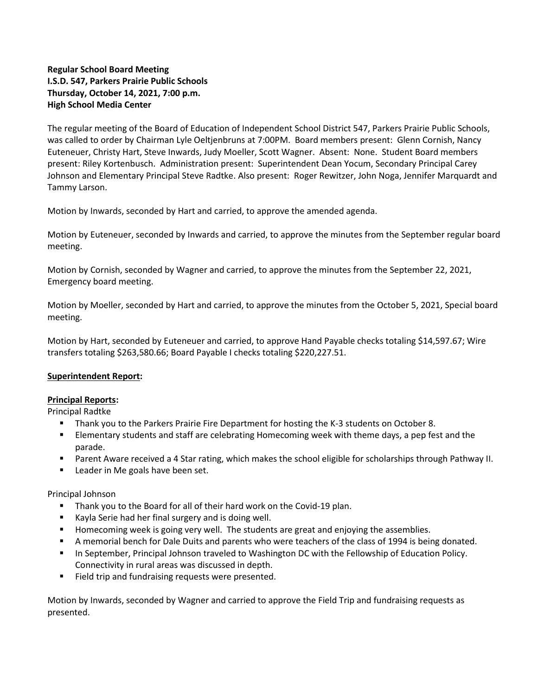# **Regular School Board Meeting I.S.D. 547, Parkers Prairie Public Schools Thursday, October 14, 2021, 7:00 p.m. High School Media Center**

The regular meeting of the Board of Education of Independent School District 547, Parkers Prairie Public Schools, was called to order by Chairman Lyle Oeltjenbruns at 7:00PM. Board members present: Glenn Cornish, Nancy Euteneuer, Christy Hart, Steve Inwards, Judy Moeller, Scott Wagner. Absent: None. Student Board members present: Riley Kortenbusch. Administration present: Superintendent Dean Yocum, Secondary Principal Carey Johnson and Elementary Principal Steve Radtke. Also present: Roger Rewitzer, John Noga, Jennifer Marquardt and Tammy Larson.

Motion by Inwards, seconded by Hart and carried, to approve the amended agenda.

Motion by Euteneuer, seconded by Inwards and carried, to approve the minutes from the September regular board meeting.

Motion by Cornish, seconded by Wagner and carried, to approve the minutes from the September 22, 2021, Emergency board meeting.

Motion by Moeller, seconded by Hart and carried, to approve the minutes from the October 5, 2021, Special board meeting.

Motion by Hart, seconded by Euteneuer and carried, to approve Hand Payable checks totaling \$14,597.67; Wire transfers totaling \$263,580.66; Board Payable I checks totaling \$220,227.51.

# **Superintendent Report:**

### **Principal Reports:**

Principal Radtke

- **Thank you to the Parkers Prairie Fire Department for hosting the K-3 students on October 8.**
- Elementary students and staff are celebrating Homecoming week with theme days, a pep fest and the parade.
- Parent Aware received a 4 Star rating, which makes the school eligible for scholarships through Pathway II.
- **Leader in Me goals have been set.**

### Principal Johnson

- Thank you to the Board for all of their hard work on the Covid-19 plan.
- **Kayla Serie had her final surgery and is doing well.**
- **Homecoming week is going very well. The students are great and enjoying the assemblies.**
- A memorial bench for Dale Duits and parents who were teachers of the class of 1994 is being donated.
- **In September, Principal Johnson traveled to Washington DC with the Fellowship of Education Policy.** Connectivity in rural areas was discussed in depth.
- Field trip and fundraising requests were presented.

Motion by Inwards, seconded by Wagner and carried to approve the Field Trip and fundraising requests as presented.